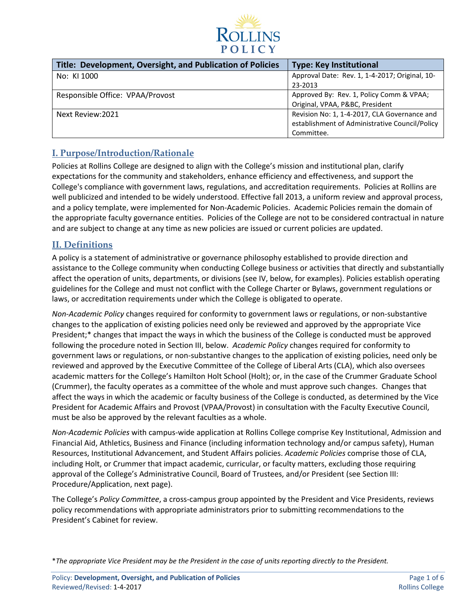

| Title: Development, Oversight, and Publication of Policies | <b>Type: Key Institutional</b>                 |
|------------------------------------------------------------|------------------------------------------------|
| No: KI 1000                                                | Approval Date: Rev. 1, 1-4-2017; Original, 10- |
|                                                            | 23-2013                                        |
| Responsible Office: VPAA/Provost                           | Approved By: Rev. 1, Policy Comm & VPAA;       |
|                                                            | Original, VPAA, P&BC, President                |
| Next Review: 2021                                          | Revision No: 1, 1-4-2017, CLA Governance and   |
|                                                            | establishment of Administrative Council/Policy |
|                                                            | Committee.                                     |

## **I. Purpose/Introduction/Rationale**

Policies at Rollins College are designed to align with the College's mission and institutional plan, clarify expectations for the community and stakeholders, enhance efficiency and effectiveness, and support the College's compliance with government laws, regulations, and accreditation requirements. Policies at Rollins are well publicized and intended to be widely understood. Effective fall 2013, a uniform review and approval process, and a policy template, were implemented for Non-Academic Policies. Academic Policies remain the domain of the appropriate faculty governance entities. Policies of the College are not to be considered contractual in nature and are subject to change at any time as new policies are issued or current policies are updated.

## **II. Definitions**

A policy is a statement of administrative or governance philosophy established to provide direction and assistance to the College community when conducting College business or activities that directly and substantially affect the operation of units, departments, or divisions (see IV, below, for examples). Policies establish operating guidelines for the College and must not conflict with the College Charter or Bylaws, government regulations or laws, or accreditation requirements under which the College is obligated to operate.

*Non-Academic Policy* changes required for conformity to government laws or regulations, or non-substantive changes to the application of existing policies need only be reviewed and approved by the appropriate Vice President;\* changes that impact the ways in which the business of the College is conducted must be approved following the procedure noted in Section III, below. *Academic Policy* changes required for conformity to government laws or regulations, or non-substantive changes to the application of existing policies, need only be reviewed and approved by the Executive Committee of the College of Liberal Arts (CLA), which also oversees academic matters for the College's Hamilton Holt School (Holt); or, in the case of the Crummer Graduate School (Crummer), the faculty operates as a committee of the whole and must approve such changes. Changes that affect the ways in which the academic or faculty business of the College is conducted, as determined by the Vice President for Academic Affairs and Provost (VPAA/Provost) in consultation with the Faculty Executive Council, must be also be approved by the relevant faculties as a whole.

*Non-Academic Policies* with campus-wide application at Rollins College comprise Key Institutional, Admission and Financial Aid, Athletics, Business and Finance (including information technology and/or campus safety), Human Resources, Institutional Advancement, and Student Affairs policies. *Academic Policies* comprise those of CLA, including Holt, or Crummer that impact academic, curricular, or faculty matters, excluding those requiring approval of the College's Administrative Council, Board of Trustees, and/or President (see Section III: Procedure/Application, next page).

The College's *Policy Committee*, a cross-campus group appointed by the President and Vice Presidents, reviews policy recommendations with appropriate administrators prior to submitting recommendations to the President's Cabinet for review.

\**The appropriate Vice President may be the President in the case of units reporting directly to the President.*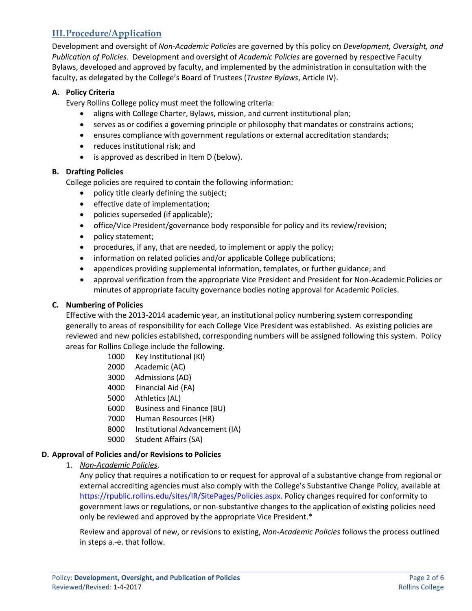# **III.Procedure/Application**

Development and oversight of *Non-Academic Policies* are governed by this policy on *Development, Oversight, and Publication of Policies*. Development and oversight of *Academic Policies* are governed by respective Faculty Bylaws, developed and approved by faculty, and implemented by the administration in consultation with the faculty, as delegated by the College's Board of Trustees (*Trustee Bylaws*, Article IV).

### **A. Policy Criteria**

Every Rollins College policy must meet the following criteria:

- aligns with College Charter, Bylaws, mission, and current institutional plan;
- serves as or codifies a governing principle or philosophy that mandates or constrains actions;
- ensures compliance with government regulations or external accreditation standards;
- reduces institutional risk; and
- is approved as described in Item D (below).

#### **B. Drafting Policies**

College policies are required to contain the following information:

- policy title clearly defining the subject;
- effective date of implementation;
- policies superseded (if applicable);
- office/Vice President/governance body responsible for policy and its review/revision;
- policy statement;
- procedures, if any, that are needed, to implement or apply the policy;
- information on related policies and/or applicable College publications;
- appendices providing supplemental information, templates, or further guidance; and
- approval verification from the appropriate Vice President and President for Non-Academic Policies or minutes of appropriate faculty governance bodies noting approval for Academic Policies.

#### **C. Numbering of Policies**

Effective with the 2013-2014 academic year, an institutional policy numbering system corresponding generally to areas of responsibility for each College Vice President was established. As existing policies are reviewed and new policies established, corresponding numbers will be assigned following this system. Policy areas for Rollins College include the following.

- 1000 Key Institutional (KI)
- 2000 Academic (AC)
- 3000 Admissions (AD)
- 4000 Financial Aid (FA)
- 5000 Athletics (AL)
- 6000 Business and Finance (BU)
- 7000 Human Resources (HR)
- 8000 Institutional Advancement (IA)
- 9000 Student Affairs (SA)

#### **D. Approval of Policies and/or Revisions to Policies**

1. *Non-Academic Policies*.

Any policy that requires a notification to or request for approval of a substantive change from regional or external accrediting agencies must also comply with the College's Substantive Change Policy, available at [https://rpublic.rollins.edu/sites/IR/SitePages/Policies.aspx.](https://rpublic.rollins.edu/sites/IR/SitePages/Policies.aspx) Policy changes required for conformity to government laws or regulations, or non-substantive changes to the application of existing policies need only be reviewed and approved by the appropriate Vice President.\*

Review and approval of new, or revisions to existing, *Non-Academic Policies* follows the process outlined in steps a.-e. that follow.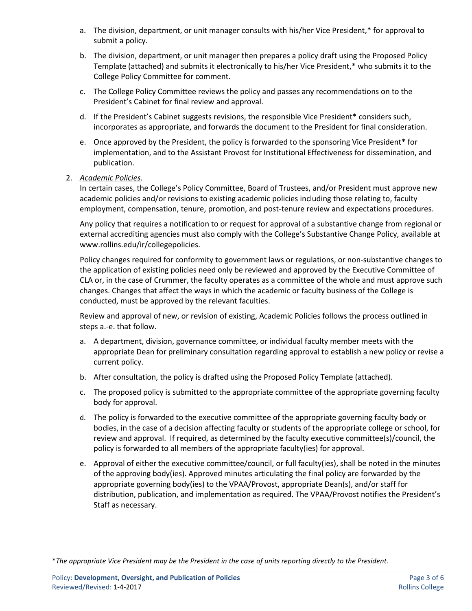- a. The division, department, or unit manager consults with his/her Vice President,\* for approval to submit a policy.
- b. The division, department, or unit manager then prepares a policy draft using the Proposed Policy Template (attached) and submits it electronically to his/her Vice President,\* who submits it to the College Policy Committee for comment.
- c. The College Policy Committee reviews the policy and passes any recommendations on to the President's Cabinet for final review and approval.
- d. If the President's Cabinet suggests revisions, the responsible Vice President\* considers such, incorporates as appropriate, and forwards the document to the President for final consideration.
- e. Once approved by the President, the policy is forwarded to the sponsoring Vice President\* for implementation, and to the Assistant Provost for Institutional Effectiveness for dissemination, and publication.
- 2. *Academic Policies*.

In certain cases, the College's Policy Committee, Board of Trustees, and/or President must approve new academic policies and/or revisions to existing academic policies including those relating to, faculty employment, compensation, tenure, promotion, and post-tenure review and expectations procedures.

Any policy that requires a notification to or request for approval of a substantive change from regional or external accrediting agencies must also comply with the College's Substantive Change Policy, available at www.rollins.edu/ir/collegepolicies.

Policy changes required for conformity to government laws or regulations, or non-substantive changes to the application of existing policies need only be reviewed and approved by the Executive Committee of CLA or, in the case of Crummer, the faculty operates as a committee of the whole and must approve such changes. Changes that affect the ways in which the academic or faculty business of the College is conducted, must be approved by the relevant faculties.

Review and approval of new, or revision of existing, Academic Policies follows the process outlined in steps a.-e. that follow.

- a. A department, division, governance committee, or individual faculty member meets with the appropriate Dean for preliminary consultation regarding approval to establish a new policy or revise a current policy.
- b. After consultation, the policy is drafted using the Proposed Policy Template (attached).
- c. The proposed policy is submitted to the appropriate committee of the appropriate governing faculty body for approval.
- d. The policy is forwarded to the executive committee of the appropriate governing faculty body or bodies, in the case of a decision affecting faculty or students of the appropriate college or school, for review and approval. If required, as determined by the faculty executive committee(s)/council, the policy is forwarded to all members of the appropriate faculty(ies) for approval.
- e. Approval of either the executive committee/council, or full faculty(ies), shall be noted in the minutes of the approving body(ies). Approved minutes articulating the final policy are forwarded by the appropriate governing body(ies) to the VPAA/Provost, appropriate Dean(s), and/or staff for distribution, publication, and implementation as required. The VPAA/Provost notifies the President's Staff as necessary.

\**The appropriate Vice President may be the President in the case of units reporting directly to the President.*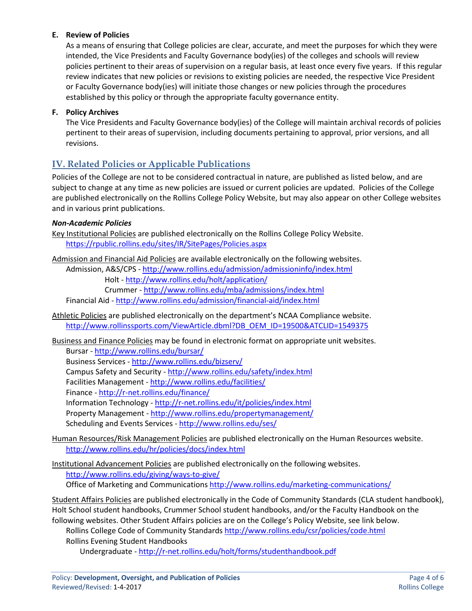### **E. Review of Policies**

As a means of ensuring that College policies are clear, accurate, and meet the purposes for which they were intended, the Vice Presidents and Faculty Governance body(ies) of the colleges and schools will review policies pertinent to their areas of supervision on a regular basis, at least once every five years. If this regular review indicates that new policies or revisions to existing policies are needed, the respective Vice President or Faculty Governance body(ies) will initiate those changes or new policies through the procedures established by this policy or through the appropriate faculty governance entity.

#### **F. Policy Archives**

The Vice Presidents and Faculty Governance body(ies) of the College will maintain archival records of policies pertinent to their areas of supervision, including documents pertaining to approval, prior versions, and all revisions.

## **IV. Related Policies or Applicable Publications**

Policies of the College are not to be considered contractual in nature, are published as listed below, and are subject to change at any time as new policies are issued or current policies are updated. Policies of the College are published electronically on the Rollins College Policy Website, but may also appear on other College websites and in various print publications.

#### *Non-Academic Policies*

Key Institutional Policies are published electronically on the Rollins College Policy Website. <https://rpublic.rollins.edu/sites/IR/SitePages/Policies.aspx>

Admission and Financial Aid Policies are available electronically on the following websites.

Admission, A&S/CPS - <http://www.rollins.edu/admission/admissioninfo/index.html> Holt - <http://www.rollins.edu/holt/application/>

Crummer - <http://www.rollins.edu/mba/admissions/index.html>

Financial Aid - <http://www.rollins.edu/admission/financial-aid/index.html>

Athletic Policies are published electronically on the department's NCAA Compliance website. [http://www.rollinssports.com/ViewArticle.dbml?DB\\_OEM\\_ID=19500&ATCLID=1549375](http://www.rollinssports.com/ViewArticle.dbml?DB_OEM_ID=19500&ATCLID=1549375)

Business and Finance Policies may be found in electronic format on appropriate unit websites.

Bursar - <http://www.rollins.edu/bursar/> Business Services - <http://www.rollins.edu/bizserv/> Campus Safety and Security - <http://www.rollins.edu/safety/index.html> Facilities Management - <http://www.rollins.edu/facilities/> Finance - <http://r-net.rollins.edu/finance/> Information Technology - <http://r-net.rollins.edu/it/policies/index.html> Property Management - <http://www.rollins.edu/propertymanagement/> Scheduling and Events Services - <http://www.rollins.edu/ses/>

Human Resources/Risk Management Policies are published electronically on the Human Resources website. <http://www.rollins.edu/hr/policies/docs/index.html>

Institutional Advancement Policies are published electronically on the following websites. <http://www.rollins.edu/giving/ways-to-give/> Office of Marketing and Communications<http://www.rollins.edu/marketing-communications/>

Student Affairs Policies are published electronically in the Code of Community Standards (CLA student handbook), Holt School student handbooks, Crummer School student handbooks, and/or the Faculty Handbook on the following websites. Other Student Affairs policies are on the College's Policy Website, see link below. Rollins College Code of Community Standards <http://www.rollins.edu/csr/policies/code.html> Rollins Evening Student Handbooks

Undergraduate - <http://r-net.rollins.edu/holt/forms/studenthandbook.pdf>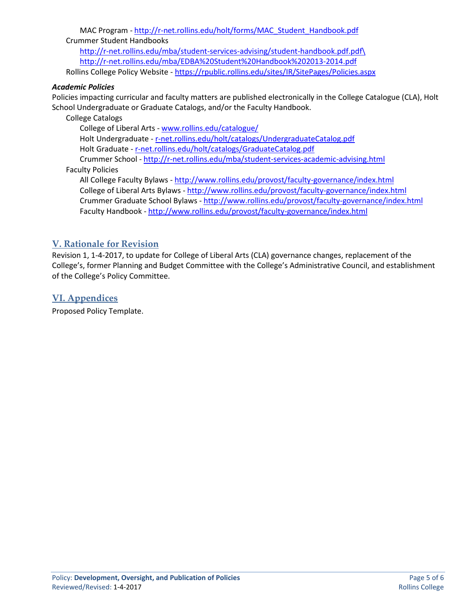MAC Program - [http://r-net.rollins.edu/holt/forms/MAC\\_Student\\_Handbook.pdf](http://r-net.rollins.edu/holt/forms/MAC_Student_Handbook.pdf) Crummer Student Handbooks [http://r-net.rollins.edu/mba/student-services-advising/student-handbook.pdf.pdf\](http://r-net.rollins.edu/mba/student-services-advising/student-handbook.pdf.pdf/) <http://r-net.rollins.edu/mba/EDBA%20Student%20Handbook%202013-2014.pdf>

Rollins College Policy Website - https://rpublic.rollins.edu/sites/IR/SitePages/Policies.aspx

#### *Academic Policies*

Policies impacting curricular and faculty matters are published electronically in the College Catalogue (CLA), Holt School Undergraduate or Graduate Catalogs, and/or the Faculty Handbook.

College Catalogs

College of Liberal Arts - [www.rollins.edu/catalogue/](http://www.rollins.edu/catalogue/) Holt Undergraduate - r-net.rollins.edu/holt/catalogs/UndergraduateCatalog.pdf Holt Graduate - r-net.rollins.edu/holt/catalogs/GraduateCatalog.pdf Crummer School - <http://r-net.rollins.edu/mba/student-services-academic-advising.html> Faculty Policies

All College Faculty Bylaws - <http://www.rollins.edu/provost/faculty-governance/index.html> College of Liberal Arts Bylaws - <http://www.rollins.edu/provost/faculty-governance/index.html> Crummer Graduate School Bylaws - <http://www.rollins.edu/provost/faculty-governance/index.html> Faculty Handbook - <http://www.rollins.edu/provost/faculty-governance/index.html>

## **V. Rationale for Revision**

Revision 1, 1-4-2017, to update for College of Liberal Arts (CLA) governance changes, replacement of the College's, former Planning and Budget Committee with the College's Administrative Council, and establishment of the College's Policy Committee.

## **VI. Appendices**

Proposed Policy Template.